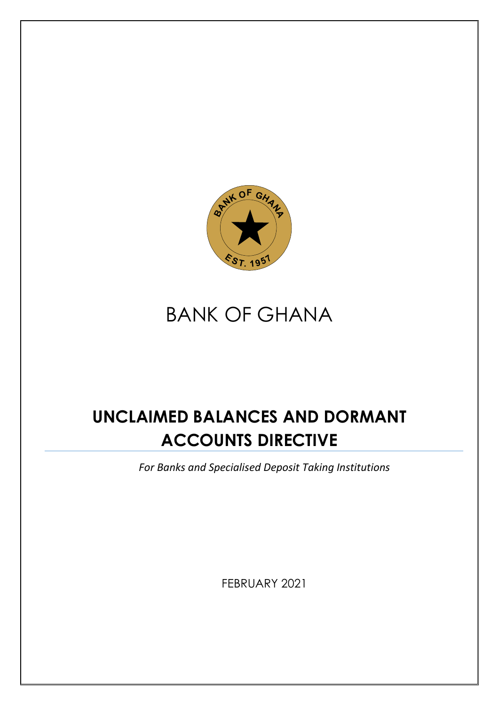

# BANK OF GHANA

## **UNCLAIMED BALANCES AND DORMANT ACCOUNTS DIRECTIVE**

*For Banks and Specialised Deposit Taking Institutions* 

FEBRUARY 2021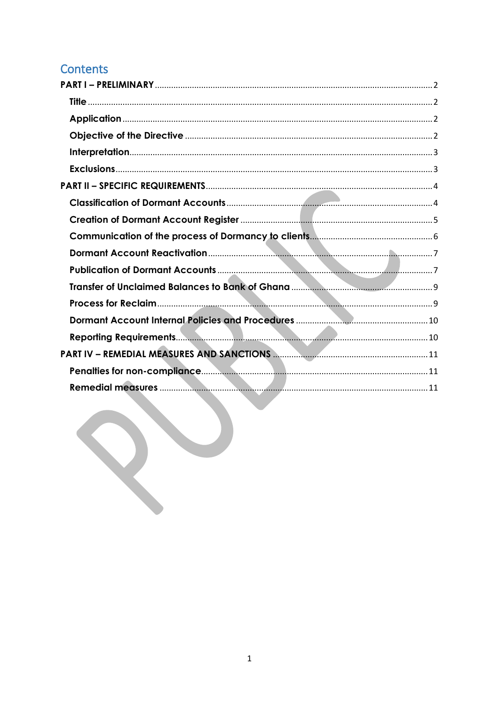## Contents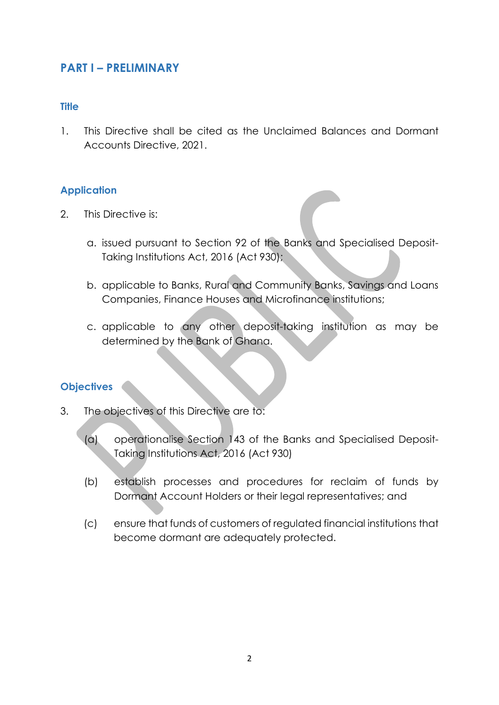### <span id="page-2-0"></span>**PART I – PRELIMINARY**

#### <span id="page-2-1"></span>**Title**

1. This Directive shall be cited as the Unclaimed Balances and Dormant Accounts Directive, 2021.

#### <span id="page-2-2"></span>**Application**

- 2. This Directive is:
	- a. issued pursuant to Section 92 of the Banks and Specialised Deposit-Taking Institutions Act, 2016 (Act 930);
	- b. applicable to Banks, Rural and Community Banks, Savings and Loans Companies, Finance Houses and Microfinance institutions;
	- c. applicable to any other deposit-taking institution as may be determined by the Bank of Ghana.

#### <span id="page-2-3"></span>**Objectives**

- 3. The objectives of this Directive are to:
	- (a) operationalise Section 143 of the Banks and Specialised Deposit-Taking Institutions Act, 2016 (Act 930)
	- (b) establish processes and procedures for reclaim of funds by Dormant Account Holders or their legal representatives; and
	- (c) ensure that funds of customers of regulated financial institutions that become dormant are adequately protected.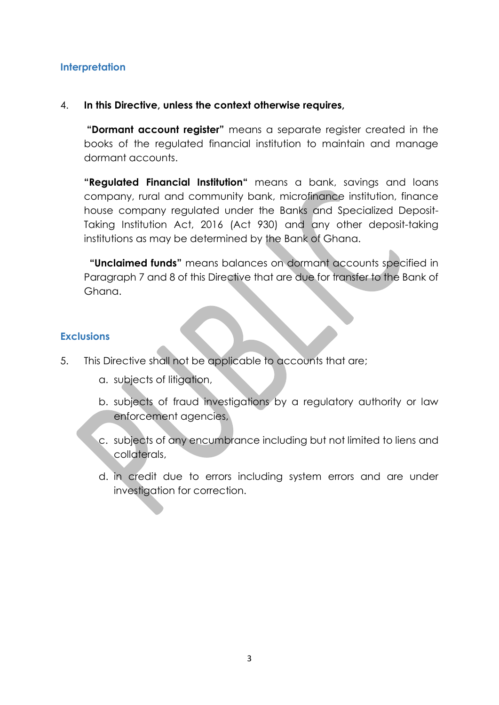#### <span id="page-3-0"></span>**Interpretation**

#### 4. **In this Directive, unless the context otherwise requires,**

**"Dormant account register"** means a separate register created in the books of the regulated financial institution to maintain and manage dormant accounts.

**"Regulated Financial Institution"** means a bank, savings and loans company, rural and community bank, microfinance institution, finance house company regulated under the Banks and Specialized Deposit-Taking Institution Act, 2016 (Act 930) and any other deposit-taking institutions as may be determined by the Bank of Ghana.

 **"Unclaimed funds"** means balances on dormant accounts specified in Paragraph 7 and 8 of this Directive that are due for transfer to the Bank of Ghana.

#### <span id="page-3-1"></span>**Exclusions**

- 5. This Directive shall not be applicable to accounts that are;
	- a. subjects of litigation,
	- b. subjects of fraud investigations by a regulatory authority or law enforcement agencies,
	- c. subjects of any encumbrance including but not limited to liens and collaterals,
	- d. in credit due to errors including system errors and are under investigation for correction.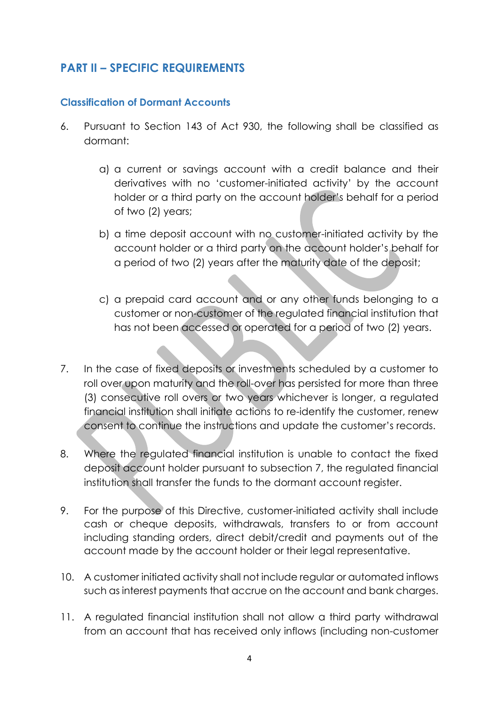## <span id="page-4-0"></span>**PART II – SPECIFIC REQUIREMENTS**

#### <span id="page-4-1"></span>**Classification of Dormant Accounts**

- 6. Pursuant to Section 143 of Act 930, the following shall be classified as dormant:
	- a) a current or savings account with a credit balance and their derivatives with no 'customer-initiated activity' by the account holder or a third party on the account holder's behalf for a period of two (2) years;
	- b) a time deposit account with no customer-initiated activity by the account holder or a third party on the account holder's behalf for a period of two (2) years after the maturity date of the deposit;
	- c) a prepaid card account and or any other funds belonging to a customer or non-customer of the regulated financial institution that has not been accessed or operated for a period of two (2) years.
- 7. In the case of fixed deposits or investments scheduled by a customer to roll over upon maturity and the roll-over has persisted for more than three (3) consecutive roll overs or two years whichever is longer, a regulated financial institution shall initiate actions to re-identify the customer, renew consent to continue the instructions and update the customer's records.
- 8. Where the regulated financial institution is unable to contact the fixed deposit account holder pursuant to subsection 7, the regulated financial institution shall transfer the funds to the dormant account register.
- 9. For the purpose of this Directive, customer-initiated activity shall include cash or cheque deposits, withdrawals, transfers to or from account including standing orders, direct debit/credit and payments out of the account made by the account holder or their legal representative.
- 10. A customer initiated activity shall not include regular or automated inflows such as interest payments that accrue on the account and bank charges.
- 11. A regulated financial institution shall not allow a third party withdrawal from an account that has received only inflows (including non-customer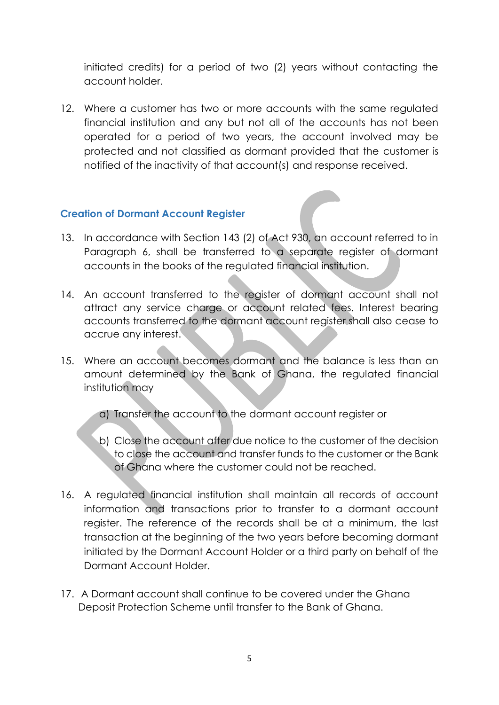initiated credits) for a period of two (2) years without contacting the account holder.

12. Where a customer has two or more accounts with the same regulated financial institution and any but not all of the accounts has not been operated for a period of two years, the account involved may be protected and not classified as dormant provided that the customer is notified of the inactivity of that account(s) and response received.

#### <span id="page-5-0"></span>**Creation of Dormant Account Register**

- 13. In accordance with Section 143 (2) of Act 930, an account referred to in Paragraph 6, shall be transferred to a separate register of dormant accounts in the books of the regulated financial institution.
- 14. An account transferred to the register of dormant account shall not attract any service charge or account related fees. Interest bearing accounts transferred to the dormant account register shall also cease to accrue any interest.
- 15. Where an account becomes dormant and the balance is less than an amount determined by the Bank of Ghana, the regulated financial institution may
	- a) Transfer the account to the dormant account register or
	- b) Close the account after due notice to the customer of the decision to close the account and transfer funds to the customer or the Bank of Ghana where the customer could not be reached.
- 16. A regulated financial institution shall maintain all records of account information and transactions prior to transfer to a dormant account register. The reference of the records shall be at a minimum, the last transaction at the beginning of the two years before becoming dormant initiated by the Dormant Account Holder or a third party on behalf of the Dormant Account Holder.
- 17. A Dormant account shall continue to be covered under the Ghana Deposit Protection Scheme until transfer to the Bank of Ghana.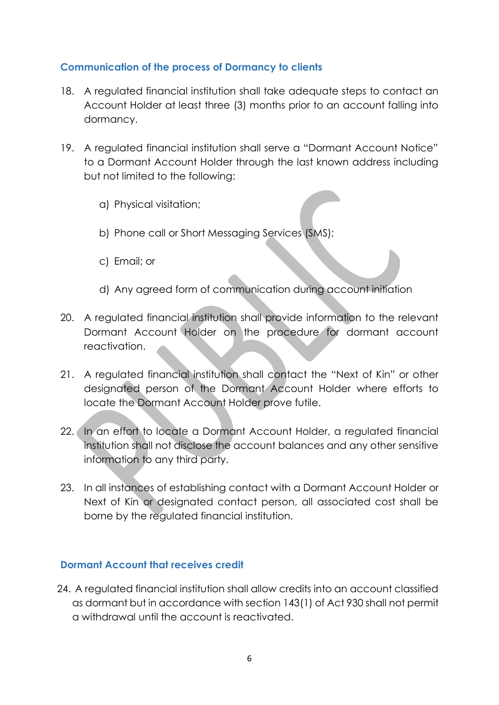#### <span id="page-6-0"></span>**Communication of the process of Dormancy to clients**

- 18. A regulated financial institution shall take adequate steps to contact an Account Holder at least three (3) months prior to an account falling into dormancy.
- 19. A regulated financial institution shall serve a "Dormant Account Notice" to a Dormant Account Holder through the last known address including but not limited to the following:
	- a) Physical visitation;
	- b) Phone call or Short Messaging Services (SMS);
	- c) Email; or
	- d) Any agreed form of communication during account initiation
- 20. A regulated financial institution shall provide information to the relevant Dormant Account Holder on the procedure for dormant account reactivation.
- 21. A regulated financial institution shall contact the "Next of Kin" or other designated person of the Dormant Account Holder where efforts to locate the Dormant Account Holder prove futile.
- 22. In an effort to locate a Dormant Account Holder, a regulated financial institution shall not disclose the account balances and any other sensitive information to any third party.
- 23. In all instances of establishing contact with a Dormant Account Holder or Next of Kin or designated contact person, all associated cost shall be borne by the regulated financial institution.

#### **Dormant Account that receives credit**

24. A regulated financial institution shall allow credits into an account classified as dormant but in accordance with section 143(1) of Act 930 shall not permit a withdrawal until the account is reactivated.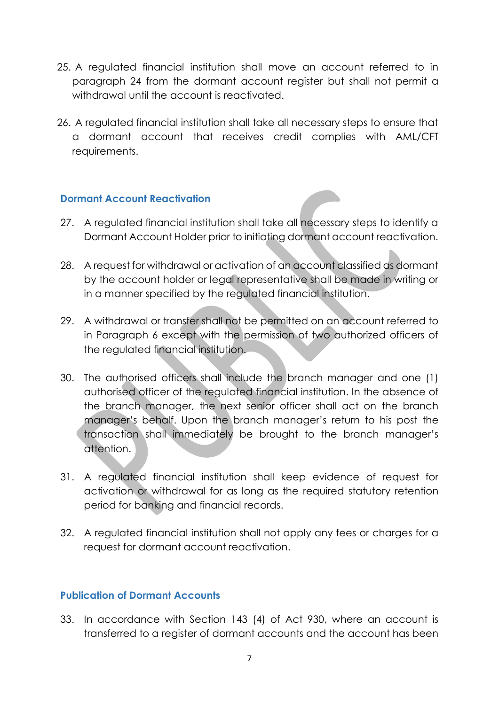- 25. A regulated financial institution shall move an account referred to in paragraph 24 from the dormant account register but shall not permit a withdrawal until the account is reactivated.
- 26. A regulated financial institution shall take all necessary steps to ensure that a dormant account that receives credit complies with AML/CFT requirements.

#### <span id="page-7-0"></span>**Dormant Account Reactivation**

- 27. A regulated financial institution shall take all necessary steps to identify a Dormant Account Holder prior to initiating dormant account reactivation.
- 28. A request for withdrawal or activation of an account classified as dormant by the account holder or legal representative shall be made in writing or in a manner specified by the regulated financial institution.
- 29. A withdrawal or transfer shall not be permitted on an account referred to in Paragraph 6 except with the permission of two authorized officers of the regulated financial institution.
- 30. The authorised officers shall include the branch manager and one (1) authorised officer of the regulated financial institution. In the absence of the branch manager, the next senior officer shall act on the branch manager's behalf. Upon the branch manager's return to his post the transaction shall immediately be brought to the branch manager's attention.
- 31. A regulated financial institution shall keep evidence of request for activation or withdrawal for as long as the required statutory retention period for banking and financial records.
- 32. A regulated financial institution shall not apply any fees or charges for a request for dormant account reactivation.

#### <span id="page-7-1"></span>**Publication of Dormant Accounts**

33. In accordance with Section 143 (4) of Act 930, where an account is transferred to a register of dormant accounts and the account has been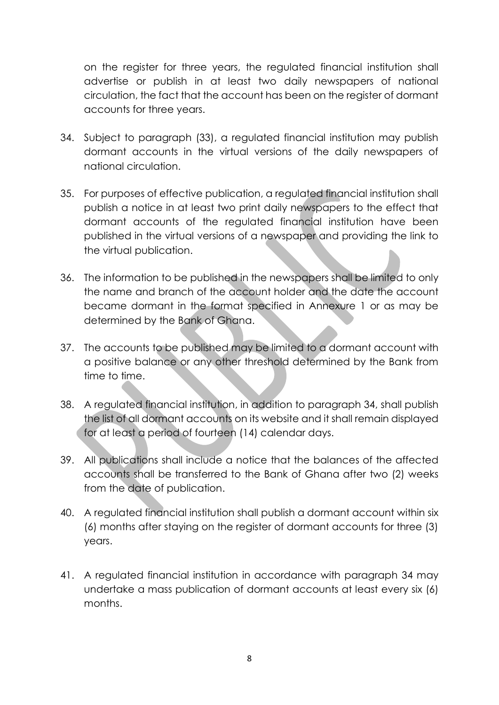on the register for three years, the regulated financial institution shall advertise or publish in at least two daily newspapers of national circulation, the fact that the account has been on the register of dormant accounts for three years.

- 34. Subject to paragraph (33), a regulated financial institution may publish dormant accounts in the virtual versions of the daily newspapers of national circulation.
- 35. For purposes of effective publication, a regulated financial institution shall publish a notice in at least two print daily newspapers to the effect that dormant accounts of the regulated financial institution have been published in the virtual versions of a newspaper and providing the link to the virtual publication.
- 36. The information to be published in the newspapers shall be limited to only the name and branch of the account holder and the date the account became dormant in the format specified in Annexure 1 or as may be determined by the Bank of Ghana.
- 37. The accounts to be published may be limited to a dormant account with a positive balance or any other threshold determined by the Bank from time to time.
- 38. A regulated financial institution, in addition to paragraph 34, shall publish the list of all dormant accounts on its website and it shall remain displayed for at least a period of fourteen (14) calendar days.
- 39. All publications shall include a notice that the balances of the affected accounts shall be transferred to the Bank of Ghana after two (2) weeks from the date of publication.
- 40. A regulated financial institution shall publish a dormant account within six (6) months after staying on the register of dormant accounts for three (3) years.
- 41. A regulated financial institution in accordance with paragraph 34 may undertake a mass publication of dormant accounts at least every six (6) months.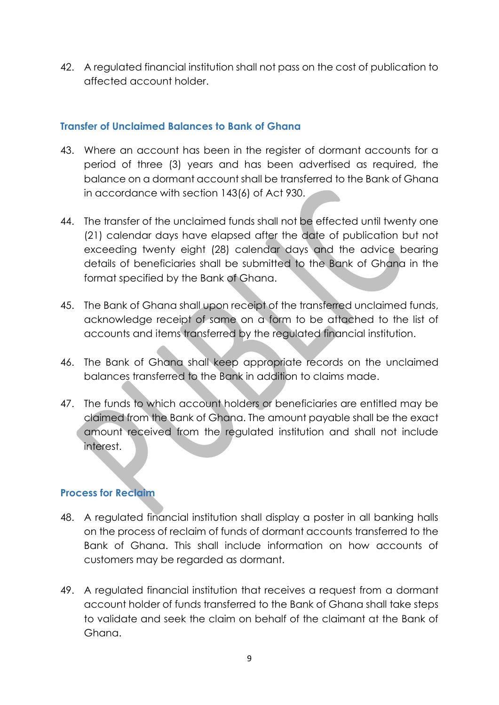42. A regulated financial institution shall not pass on the cost of publication to affected account holder.

#### <span id="page-9-0"></span>**Transfer of Unclaimed Balances to Bank of Ghana**

- 43. Where an account has been in the register of dormant accounts for a period of three (3) years and has been advertised as required, the balance on a dormant account shall be transferred to the Bank of Ghana in accordance with section 143(6) of Act 930.
- 44. The transfer of the unclaimed funds shall not be effected until twenty one (21) calendar days have elapsed after the date of publication but not exceeding twenty eight (28) calendar days and the advice bearing details of beneficiaries shall be submitted to the Bank of Ghana in the format specified by the Bank of Ghana.
- 45. The Bank of Ghana shall upon receipt of the transferred unclaimed funds, acknowledge receipt of same on a form to be attached to the list of accounts and items transferred by the regulated financial institution.
- 46. The Bank of Ghana shall keep appropriate records on the unclaimed balances transferred to the Bank in addition to claims made.
- 47. The funds to which account holders or beneficiaries are entitled may be claimed from the Bank of Ghana. The amount payable shall be the exact amount received from the regulated institution and shall not include interest.

#### <span id="page-9-1"></span>**Process for Reclaim**

- 48. A regulated financial institution shall display a poster in all banking halls on the process of reclaim of funds of dormant accounts transferred to the Bank of Ghana. This shall include information on how accounts of customers may be regarded as dormant.
- 49. A regulated financial institution that receives a request from a dormant account holder of funds transferred to the Bank of Ghana shall take steps to validate and seek the claim on behalf of the claimant at the Bank of Ghana.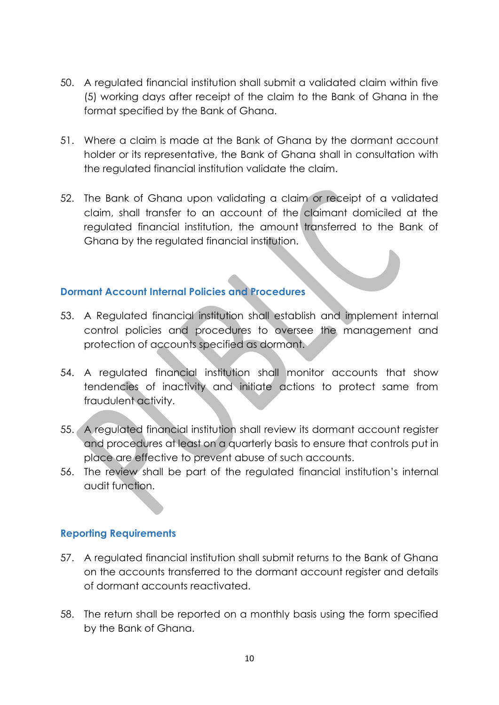- 50. A regulated financial institution shall submit a validated claim within five (5) working days after receipt of the claim to the Bank of Ghana in the format specified by the Bank of Ghana.
- 51. Where a claim is made at the Bank of Ghana by the dormant account holder or its representative, the Bank of Ghana shall in consultation with the regulated financial institution validate the claim.
- 52. The Bank of Ghana upon validating a claim or receipt of a validated claim, shall transfer to an account of the claimant domiciled at the regulated financial institution, the amount transferred to the Bank of Ghana by the regulated financial institution.

#### <span id="page-10-0"></span>**Dormant Account Internal Policies and Procedures**

- 53. A Regulated financial institution shall establish and implement internal control policies and procedures to oversee the management and protection of accounts specified as dormant.
- 54. A regulated financial institution shall monitor accounts that show tendencies of inactivity and initiate actions to protect same from fraudulent activity.
- 55. A regulated financial institution shall review its dormant account register and procedures at least on a quarterly basis to ensure that controls put in place are effective to prevent abuse of such accounts.
- 56. The review shall be part of the regulated financial institution's internal audit function.

#### <span id="page-10-1"></span>**Reporting Requirements**

- 57. A regulated financial institution shall submit returns to the Bank of Ghana on the accounts transferred to the dormant account register and details of dormant accounts reactivated.
- 58. The return shall be reported on a monthly basis using the form specified by the Bank of Ghana.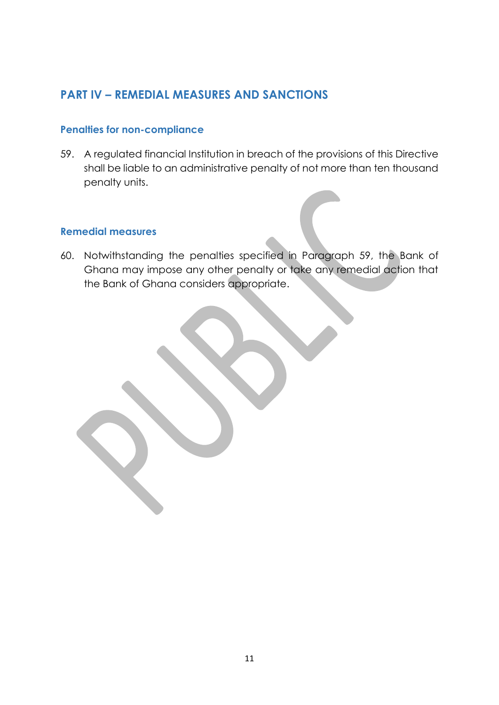## <span id="page-11-0"></span>**PART IV – REMEDIAL MEASURES AND SANCTIONS**

#### <span id="page-11-1"></span>**Penalties for non-compliance**

59. A regulated financial Institution in breach of the provisions of this Directive shall be liable to an administrative penalty of not more than ten thousand penalty units.

#### <span id="page-11-2"></span>**Remedial measures**

60. Notwithstanding the penalties specified in Paragraph 59, the Bank of Ghana may impose any other penalty or take any remedial action that the Bank of Ghana considers appropriate.